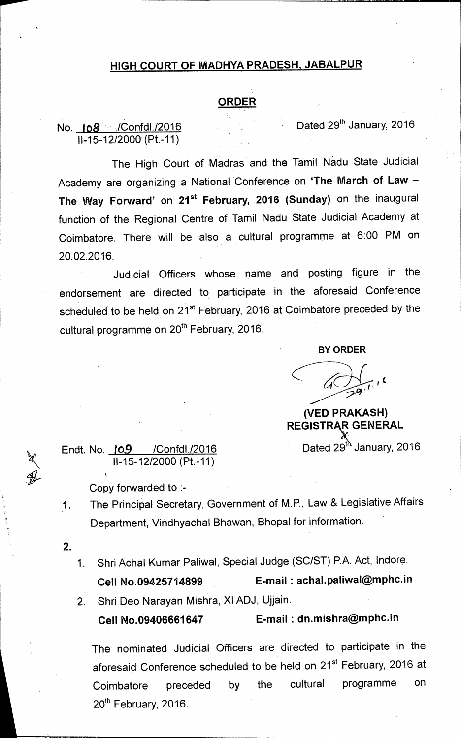## **HIGH COURT OF MADHYA PRADESH, JABALPUR**

## **ORDER**

## No. **108** • **/Confdl./2016 Dated 29<sup>th</sup> January, 2016** 11-15-12/2000 (Pt.-11)

The High Court of Madras and the Tamil Nadu State Judicial Academy are organizing a National Conference on **'The March of Law — The Way Forward'** on 21<sup>st</sup> February, 2016 (Sunday) on the inaugural function of the Regional Centre of Tamil Nadu State Judicial Academy at Coimbatore. There will be also a cultural programme at 6:00 PM on 20.02.2016.

Judicial Officers whose name and posting figure in the endorsement are directed to, participate in the aforesaid Conference scheduled to be held on 21<sup>st</sup> February, 2016 at Coimbatore preceded by the cultural programme on 20<sup>th</sup> February, 2016.

**BY ORDER** 

**(VED PRAKASH) REGISTRAR GENERAL** 

Endt. No.  $109$  /Confdl./2016 Dated 29<sup>th</sup> January, 2016 11-15-12/2000 (Pt.-11)

Copy forwarded to :-

- The Principal Secretary, Government of M.P., Law & Legislative Affairs 1. Department, Vindhyachal Bhawan, Bhopal for information.
- $2.$
- 1. Shri Achal Kumar Paliwal, Special Judge (SC/ST) P.A. Act, lndore.

**Cell No.09425714899 E-mail : achal.paliwal©mphc.in** 

2. Shri Deo Narayan Mishra, XI ADJ, Ujjain.

**Cell No.09406661647 E-mail : dn.mishra@mphc.in** 

The nominated Judicial Officers are directed to participate in the aforesaid Conference scheduled to be held on 21<sup>st</sup> February, 2016 at Coimbatore preceded by the cultural programme on  $20<sup>th</sup>$  February, 2016.